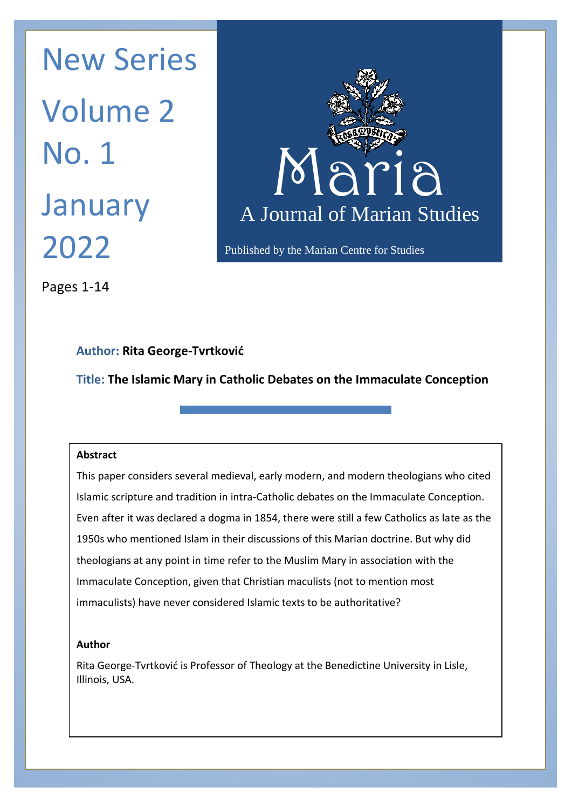Maria Maria N January A Journal New Series Volume 2 No. 1 2022



Published by the Marian Centre for Studies

Pages 1-14

# **Author: Rita George-Tvrtković**

**Title: The Islamic Mary in Catholic Debates on the Immaculate Conception**

# **Abstract**

This paper considers several medieval, early modern, and modern theologians who cited Islamic scripture and tradition in intra-Catholic debates on the Immaculate Conception. Even after it was declared a dogma in 1854, there were still a few Catholics as late as the 1950s who mentioned Islam in their discussions of this Marian doctrine. But why did theologians at any point in time refer to the Muslim Mary in association with the Immaculate Conception, given that Christian maculists (not to mention most immaculists) have never considered Islamic texts to be authoritative?

# **Author**

Rita George-Tvrtković is Professor of Theology at the Benedictine University in Lisle, Illinois, USA.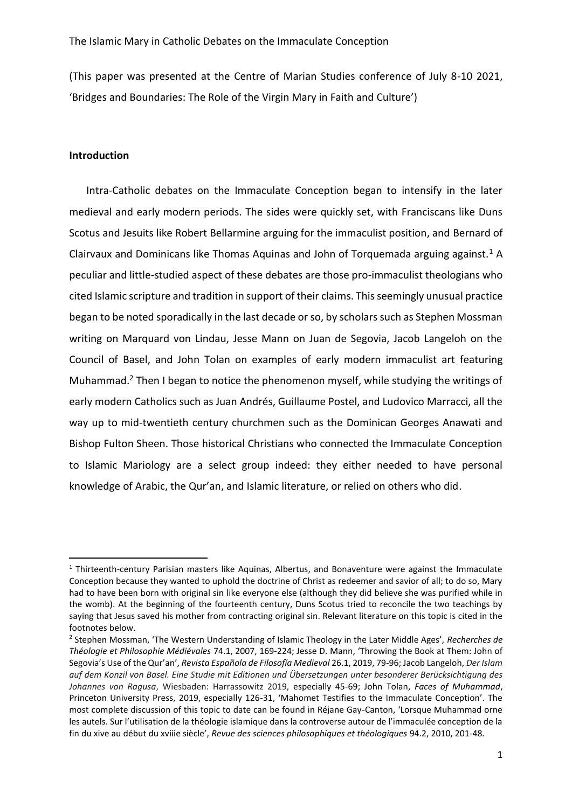(This paper was presented at the Centre of Marian Studies conference of July 8-10 2021, 'Bridges and Boundaries: The Role of the Virgin Mary in Faith and Culture')

# **Introduction**

Intra-Catholic debates on the Immaculate Conception began to intensify in the later medieval and early modern periods. The sides were quickly set, with Franciscans like Duns Scotus and Jesuits like Robert Bellarmine arguing for the immaculist position, and Bernard of Clairvaux and Dominicans like Thomas Aquinas and John of Torquemada arguing against.<sup>1</sup> A peculiar and little-studied aspect of these debates are those pro-immaculist theologians who cited Islamic scripture and tradition in support of their claims. This seemingly unusual practice began to be noted sporadically in the last decade or so, by scholars such as Stephen Mossman writing on Marquard von Lindau, Jesse Mann on Juan de Segovia, Jacob Langeloh on the Council of Basel, and John Tolan on examples of early modern immaculist art featuring Muhammad.<sup>2</sup> Then I began to notice the phenomenon myself, while studying the writings of early modern Catholics such as Juan Andrés, Guillaume Postel, and Ludovico Marracci, all the way up to mid-twentieth century churchmen such as the Dominican Georges Anawati and Bishop Fulton Sheen. Those historical Christians who connected the Immaculate Conception to Islamic Mariology are a select group indeed: they either needed to have personal knowledge of Arabic, the Qur'an, and Islamic literature, or relied on others who did.

<sup>&</sup>lt;sup>1</sup> Thirteenth-century Parisian masters like Aquinas, Albertus, and Bonaventure were against the Immaculate Conception because they wanted to uphold the doctrine of Christ as redeemer and savior of all; to do so, Mary had to have been born with original sin like everyone else (although they did believe she was purified while in the womb). At the beginning of the fourteenth century, Duns Scotus tried to reconcile the two teachings by saying that Jesus saved his mother from contracting original sin. Relevant literature on this topic is cited in the footnotes below.

<sup>2</sup> Stephen Mossman, 'The Western Understanding of Islamic Theology in the Later Middle Ages', *Recherches de Théologie et Philosophie Médiévales* 74.1, 2007, 169-224; Jesse D. Mann, 'Throwing the Book at Them: John of Segovia's Use of the Qur'an', *Revista Española de Filosofía Medieval* 26.1, 2019, 79-96; Jacob Langeloh, *Der Islam auf dem Konzil von Basel. Eine Studie mit Editionen und Übersetzungen unter besonderer Berücksichtigung des Johannes von Ragusa*, Wiesbaden: Harrassowitz 2019, especially 45-69; John Tolan, *Faces of Muhammad*, Princeton University Press, 2019, especially 126-31, 'Mahomet Testifies to the Immaculate Conception'. The most complete discussion of this topic to date can be found in Réjane Gay-Canton, 'Lorsque Muhammad orne les autels. Sur l'utilisation de la théologie islamique dans la controverse autour de l'immaculée conception de la fin du xive au début du xviiie siècle', *Revue des sciences philosophiques et théologiques* 94.2, 2010, 201-48.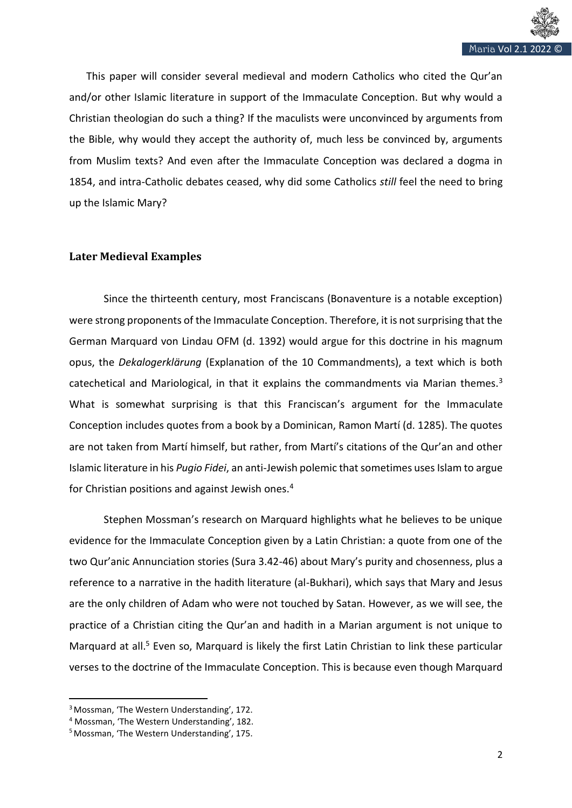

This paper will consider several medieval and modern Catholics who cited the Qur'an and/or other Islamic literature in support of the Immaculate Conception. But why would a Christian theologian do such a thing? If the maculists were unconvinced by arguments from the Bible, why would they accept the authority of, much less be convinced by, arguments from Muslim texts? And even after the Immaculate Conception was declared a dogma in 1854, and intra-Catholic debates ceased, why did some Catholics *still* feel the need to bring up the Islamic Mary?

# **Later Medieval Examples**

Since the thirteenth century, most Franciscans (Bonaventure is a notable exception) were strong proponents of the Immaculate Conception. Therefore, it is not surprising that the German Marquard von Lindau OFM (d. 1392) would argue for this doctrine in his magnum opus, the *Dekalogerklärung* (Explanation of the 10 Commandments), a text which is both catechetical and Mariological, in that it explains the commandments via Marian themes. $3$ What is somewhat surprising is that this Franciscan's argument for the Immaculate Conception includes quotes from a book by a Dominican, Ramon Martí (d. 1285). The quotes are not taken from Martí himself, but rather, from Martí's citations of the Qur'an and other Islamic literature in his *Pugio Fidei*, an anti-Jewish polemic thatsometimes uses Islam to argue for Christian positions and against Jewish ones.<sup>4</sup>

Stephen Mossman's research on Marquard highlights what he believes to be unique evidence for the Immaculate Conception given by a Latin Christian: a quote from one of the two Qur'anic Annunciation stories (Sura 3.42-46) about Mary's purity and chosenness, plus a reference to a narrative in the hadith literature (al-Bukhari), which says that Mary and Jesus are the only children of Adam who were not touched by Satan. However, as we will see, the practice of a Christian citing the Qur'an and hadith in a Marian argument is not unique to Marquard at all.<sup>5</sup> Even so, Marquard is likely the first Latin Christian to link these particular verses to the doctrine of the Immaculate Conception. This is because even though Marquard

<sup>&</sup>lt;sup>3</sup> Mossman, 'The Western Understanding', 172.

<sup>4</sup> Mossman, 'The Western Understanding', 182.

<sup>&</sup>lt;sup>5</sup> Mossman, 'The Western Understanding', 175.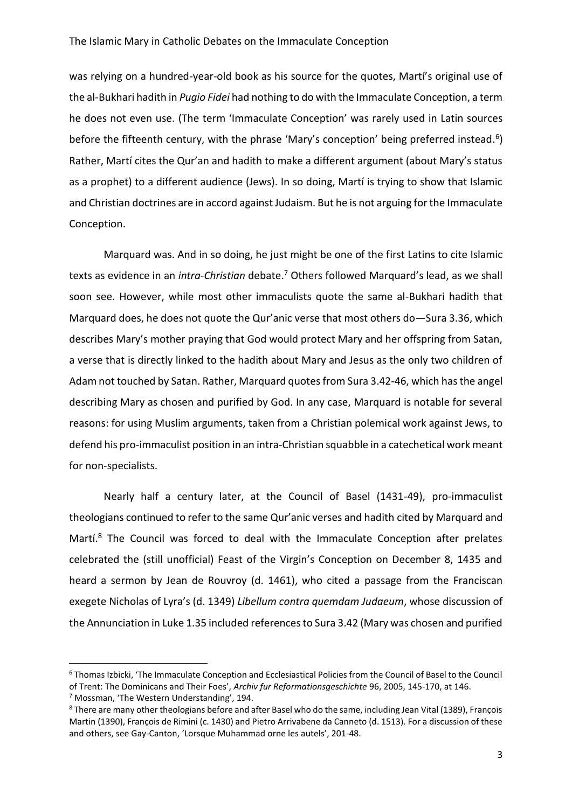### The Islamic Mary in Catholic Debates on the Immaculate Conception

was relying on a hundred-year-old book as his source for the quotes, Martí's original use of the al-Bukhari hadith in *Pugio Fidei* had nothing to do with the Immaculate Conception, a term he does not even use. (The term 'Immaculate Conception' was rarely used in Latin sources before the fifteenth century, with the phrase 'Mary's conception' being preferred instead.<sup>6</sup>) Rather, Martí cites the Qur'an and hadith to make a different argument (about Mary's status as a prophet) to a different audience (Jews). In so doing, Martí is trying to show that Islamic and Christian doctrines are in accord against Judaism. But he is not arguing for the Immaculate Conception.

Marquard was. And in so doing, he just might be one of the first Latins to cite Islamic texts as evidence in an *intra-Christian* debate.<sup>7</sup> Others followed Marquard's lead, as we shall soon see. However, while most other immaculists quote the same al-Bukhari hadith that Marquard does, he does not quote the Qur'anic verse that most others do—Sura 3.36, which describes Mary's mother praying that God would protect Mary and her offspring from Satan, a verse that is directly linked to the hadith about Mary and Jesus as the only two children of Adam not touched by Satan. Rather, Marquard quotes from Sura 3.42-46, which has the angel describing Mary as chosen and purified by God. In any case, Marquard is notable for several reasons: for using Muslim arguments, taken from a Christian polemical work against Jews, to defend his pro-immaculist position in an intra-Christian squabble in a catechetical work meant for non-specialists.

Nearly half a century later, at the Council of Basel (1431-49), pro-immaculist theologians continued to refer to the same Qur'anic verses and hadith cited by Marquard and Martí.<sup>8</sup> The Council was forced to deal with the Immaculate Conception after prelates celebrated the (still unofficial) Feast of the Virgin's Conception on December 8, 1435 and heard a sermon by Jean de Rouvroy (d. 1461), who cited a passage from the Franciscan exegete Nicholas of Lyra's (d. 1349) *Libellum contra quemdam Judaeum*, whose discussion of the Annunciation in Luke 1.35 included references to Sura 3.42 (Mary was chosen and purified

<sup>6</sup> Thomas Izbicki, 'The Immaculate Conception and Ecclesiastical Policies from the Council of Basel to the Council of Trent: The Dominicans and Their Foes', *Archiv fur Reformationsgeschichte* 96, 2005, 145-170, at 146.

<sup>7</sup> Mossman, 'The Western Understanding', 194.

<sup>&</sup>lt;sup>8</sup> There are many other theologians before and after Basel who do the same, including Jean Vital (1389), François Martin (1390), François de Rimini (c. 1430) and Pietro Arrivabene da Canneto (d. 1513). For a discussion of these and others, see Gay-Canton, 'Lorsque Muhammad orne les autels', 201-48.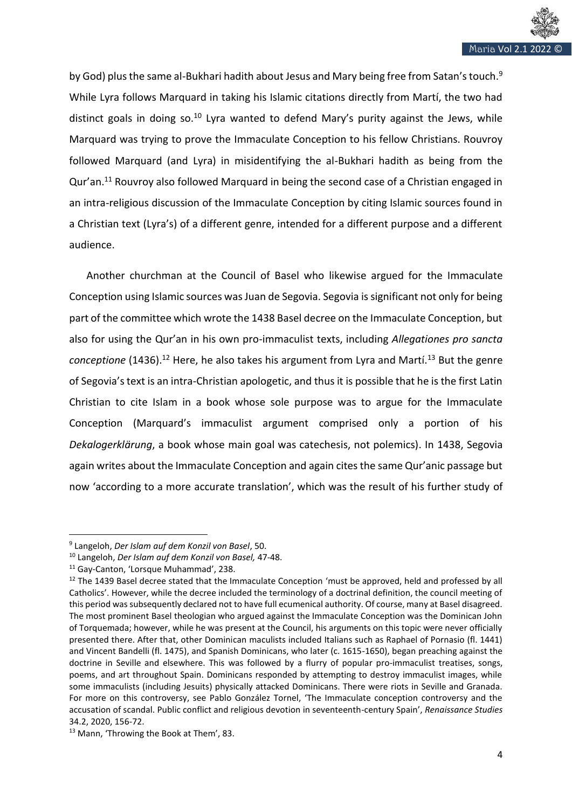

by God) plus the same al-Bukhari hadith about Jesus and Mary being free from Satan's touch.<sup>9</sup> While Lyra follows Marquard in taking his Islamic citations directly from Martí, the two had distinct goals in doing so.<sup>10</sup> Lyra wanted to defend Mary's purity against the Jews, while Marquard was trying to prove the Immaculate Conception to his fellow Christians. Rouvroy followed Marquard (and Lyra) in misidentifying the al-Bukhari hadith as being from the Qur'an.<sup>11</sup> Rouvroy also followed Marquard in being the second case of a Christian engaged in an intra-religious discussion of the Immaculate Conception by citing Islamic sources found in a Christian text (Lyra's) of a different genre, intended for a different purpose and a different audience.

Another churchman at the Council of Basel who likewise argued for the Immaculate Conception using Islamic sources was Juan de Segovia. Segovia is significant not only for being part of the committee which wrote the 1438 Basel decree on the Immaculate Conception, but also for using the Qur'an in his own pro-immaculist texts, including *Allegationes pro sancta conceptione* (1436).<sup>12</sup> Here, he also takes his argument from Lyra and Martí.<sup>13</sup> But the genre of Segovia's text is an intra-Christian apologetic, and thus it is possible that he is the first Latin Christian to cite Islam in a book whose sole purpose was to argue for the Immaculate Conception (Marquard's immaculist argument comprised only a portion of his *Dekalogerklärung*, a book whose main goal was catechesis, not polemics). In 1438, Segovia again writes about the Immaculate Conception and again cites the same Qur'anic passage but now 'according to a more accurate translation', which was the result of his further study of

<sup>9</sup> Langeloh, *Der Islam auf dem Konzil von Basel*, 50.

<sup>10</sup> Langeloh, *Der Islam auf dem Konzil von Basel,* 47-48.

<sup>11</sup> Gay-Canton, 'Lorsque Muhammad', 238.

<sup>&</sup>lt;sup>12</sup> The 1439 Basel decree stated that the Immaculate Conception 'must be approved, held and professed by all Catholics'. However, while the decree included the terminology of a doctrinal definition, the council meeting of this period was subsequently declared not to have full ecumenical authority. Of course, many at Basel disagreed. The most prominent Basel theologian who argued against the Immaculate Conception was the Dominican John of Torquemada; however, while he was present at the Council, his arguments on this topic were never officially presented there. After that, other Dominican maculists included Italians such as Raphael of Pornasio (fl. 1441) and Vincent Bandelli (fl. 1475), and Spanish Dominicans, who later (c. 1615-1650), began preaching against the doctrine in Seville and elsewhere. This was followed by a flurry of popular pro-immaculist treatises, songs, poems, and art throughout Spain. Dominicans responded by attempting to destroy immaculist images, while some immaculists (including Jesuits) physically attacked Dominicans. There were riots in Seville and Granada. For more on this controversy, see Pablo González Tornel, 'The Immaculate conception controversy and the accusation of scandal. Public conflict and religious devotion in seventeenth-century Spain', *Renaissance Studies* 34.2, 2020, 156-72.

<sup>13</sup> Mann, 'Throwing the Book at Them', 83.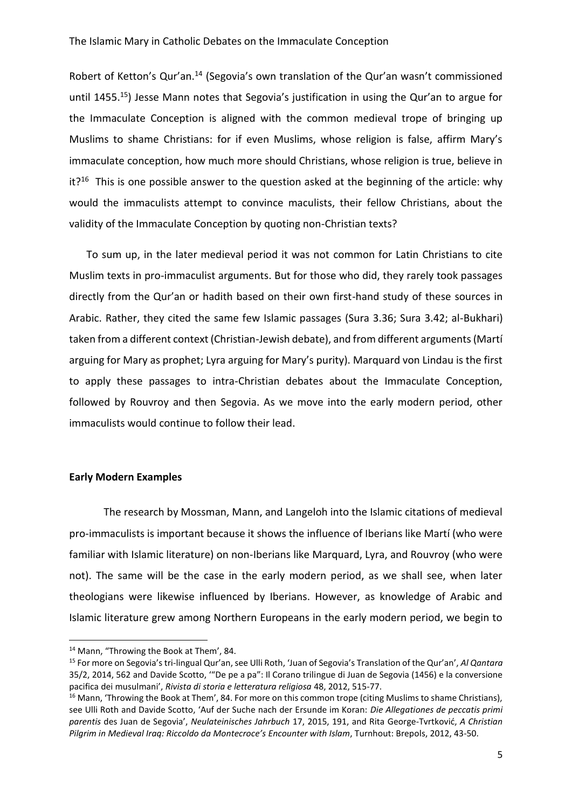Robert of Ketton's Qur'an.<sup>14</sup> (Segovia's own translation of the Qur'an wasn't commissioned until 1455.<sup>15</sup>) Jesse Mann notes that Segovia's justification in using the Qur'an to argue for the Immaculate Conception is aligned with the common medieval trope of bringing up Muslims to shame Christians: for if even Muslims, whose religion is false, affirm Mary's immaculate conception, how much more should Christians, whose religion is true, believe in it?<sup>16</sup> This is one possible answer to the question asked at the beginning of the article: why would the immaculists attempt to convince maculists, their fellow Christians, about the validity of the Immaculate Conception by quoting non-Christian texts?

To sum up, in the later medieval period it was not common for Latin Christians to cite Muslim texts in pro-immaculist arguments. But for those who did, they rarely took passages directly from the Qur'an or hadith based on their own first-hand study of these sources in Arabic. Rather, they cited the same few Islamic passages (Sura 3.36; Sura 3.42; al-Bukhari) taken from a different context (Christian-Jewish debate), and from different arguments (Martí arguing for Mary as prophet; Lyra arguing for Mary's purity). Marquard von Lindau is the first to apply these passages to intra-Christian debates about the Immaculate Conception, followed by Rouvroy and then Segovia. As we move into the early modern period, other immaculists would continue to follow their lead.

## **Early Modern Examples**

The research by Mossman, Mann, and Langeloh into the Islamic citations of medieval pro-immaculists is important because it shows the influence of Iberians like Martí (who were familiar with Islamic literature) on non-Iberians like Marquard, Lyra, and Rouvroy (who were not). The same will be the case in the early modern period, as we shall see, when later theologians were likewise influenced by Iberians. However, as knowledge of Arabic and Islamic literature grew among Northern Europeans in the early modern period, we begin to

<sup>14</sup> Mann, "Throwing the Book at Them', 84.

<sup>15</sup> For more on Segovia's tri-lingual Qur'an, see Ulli Roth, 'Juan of Segovia's Translation of the Qur'an', *Al Qantara* 35/2, 2014, 562 and Davide Scotto, '"De pe a pa": Il Corano trilingue di Juan de Segovia (1456) e la conversione pacifica dei musulmani', *Rivista di storia e letteratura religiosa* 48, 2012, 515-77.

<sup>&</sup>lt;sup>16</sup> Mann, 'Throwing the Book at Them', 84. For more on this common trope (citing Muslims to shame Christians), see Ulli Roth and Davide Scotto, 'Auf der Suche nach der Ersunde im Koran: *Die Allegationes de peccatis primi parentis* des Juan de Segovia', *Neulateinisches Jahrbuch* 17, 2015, 191, and Rita George-Tvrtković, *A Christian Pilgrim in Medieval Iraq: Riccoldo da Montecroce's Encounter with Islam*, Turnhout: Brepols, 2012, 43-50.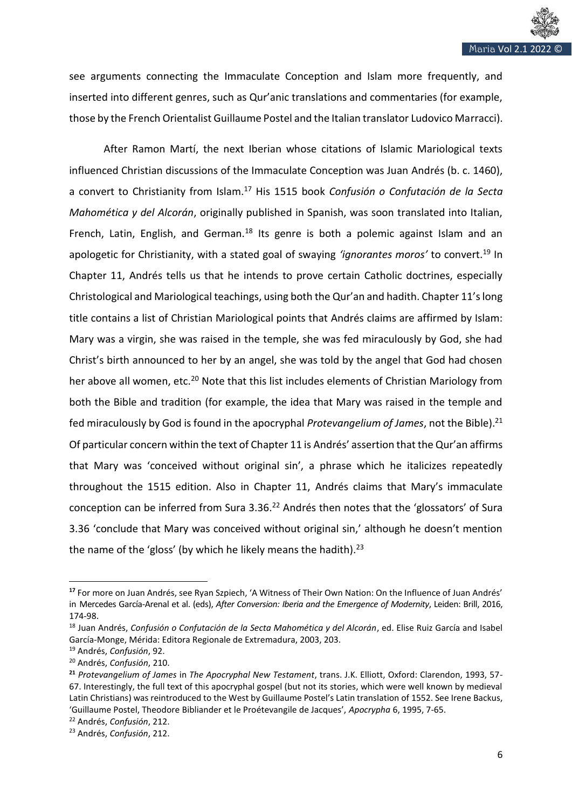see arguments connecting the Immaculate Conception and Islam more frequently, and inserted into different genres, such as Qur'anic translations and commentaries (for example, those by the French Orientalist Guillaume Postel and the Italian translator Ludovico Marracci).

After Ramon Martí, the next Iberian whose citations of Islamic Mariological texts influenced Christian discussions of the Immaculate Conception was Juan Andrés (b. c. 1460), a convert to Christianity from Islam.<sup>17</sup> His 1515 book *Confusión o Confutación de la Secta Mahomética y del Alcorán*, originally published in Spanish, was soon translated into Italian, French, Latin, English, and German.<sup>18</sup> Its genre is both a polemic against Islam and an apologetic for Christianity, with a stated goal of swaying *'ignorantes moros'* to convert.<sup>19</sup> In Chapter 11, Andrés tells us that he intends to prove certain Catholic doctrines, especially Christological and Mariological teachings, using both the Qur'an and hadith. Chapter 11's long title contains a list of Christian Mariological points that Andrés claims are affirmed by Islam: Mary was a virgin, she was raised in the temple, she was fed miraculously by God, she had Christ's birth announced to her by an angel, she was told by the angel that God had chosen her above all women, etc.<sup>20</sup> Note that this list includes elements of Christian Mariology from both the Bible and tradition (for example, the idea that Mary was raised in the temple and fed miraculously by God is found in the apocryphal *Protevangelium of James*, not the Bible).<sup>21</sup> Of particular concern within the text of Chapter 11 is Andrés' assertion that the Qur'an affirms that Mary was 'conceived without original sin', a phrase which he italicizes repeatedly throughout the 1515 edition. Also in Chapter 11, Andrés claims that Mary's immaculate conception can be inferred from Sura 3.36.<sup>22</sup> Andrés then notes that the 'glossators' of Sura 3.36 'conclude that Mary was conceived without original sin,' although he doesn't mention the name of the 'gloss' (by which he likely means the hadith). $23$ 

**<sup>17</sup>** For more on Juan Andrés, see Ryan Szpiech, 'A Witness of Their Own Nation: On the Influence of Juan Andrés' in Mercedes García-Arenal et al. (eds), *After Conversion: Iberia and the Emergence of Modernity*, Leiden: Brill, 2016, 174-98.

<sup>18</sup> Juan Andrés, *Confusión o Confutación de la Secta Mahomética y del Alcorán*, ed. Elise Ruiz García and Isabel García-Monge, Mérida: Editora Regionale de Extremadura, 2003, 203.

<sup>19</sup> Andrés, *Confusión*, 92.

<sup>20</sup> Andrés, *Confusión*, 210.

**<sup>21</sup>** *Protevangelium of James* in *The Apocryphal New Testament*, trans. J.K. Elliott, Oxford: Clarendon, 1993, 57- 67. Interestingly, the full text of this apocryphal gospel (but not its stories, which were well known by medieval Latin Christians) was reintroduced to the West by Guillaume Postel's Latin translation of 1552. See Irene Backus, 'Guillaume Postel, Theodore Bibliander et le Proétevangile de Jacques', *Apocrypha* 6, 1995, 7-65.

<sup>22</sup> Andrés, *Confusión*, 212.

<sup>23</sup> Andrés, *Confusión*, 212.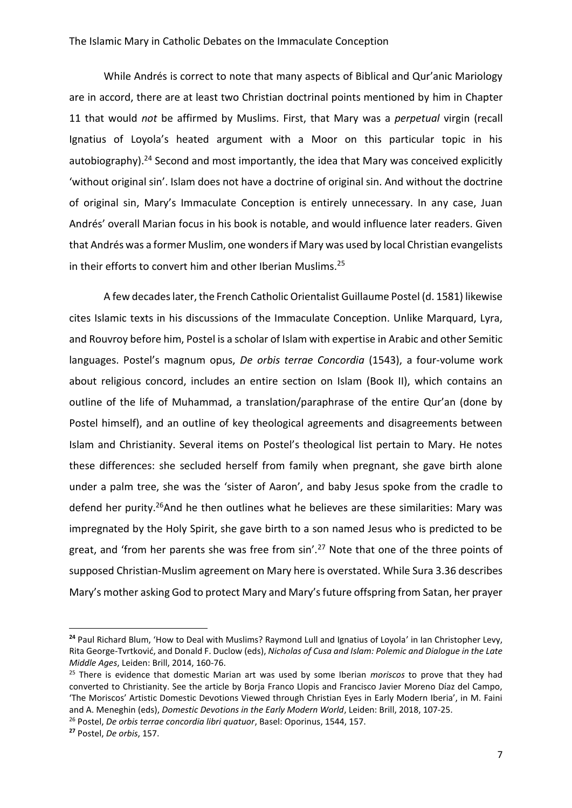While Andrés is correct to note that many aspects of Biblical and Qur'anic Mariology are in accord, there are at least two Christian doctrinal points mentioned by him in Chapter 11 that would *not* be affirmed by Muslims. First, that Mary was a *perpetual* virgin (recall Ignatius of Loyola's heated argument with a Moor on this particular topic in his autobiography).<sup>24</sup> Second and most importantly, the idea that Mary was conceived explicitly 'without original sin'. Islam does not have a doctrine of original sin. And without the doctrine of original sin, Mary's Immaculate Conception is entirely unnecessary. In any case, Juan Andrés' overall Marian focus in his book is notable, and would influence later readers. Given that Andrés was a former Muslim, one wonders if Mary was used by local Christian evangelists in their efforts to convert him and other Iberian Muslims.<sup>25</sup>

A few decades later, the French Catholic Orientalist Guillaume Postel (d. 1581) likewise cites Islamic texts in his discussions of the Immaculate Conception. Unlike Marquard, Lyra, and Rouvroy before him, Postel is a scholar of Islam with expertise in Arabic and other Semitic languages. Postel's magnum opus, *De orbis terrae Concordia* (1543), a four-volume work about religious concord, includes an entire section on Islam (Book II), which contains an outline of the life of Muhammad, a translation/paraphrase of the entire Qur'an (done by Postel himself), and an outline of key theological agreements and disagreements between Islam and Christianity. Several items on Postel's theological list pertain to Mary. He notes these differences: she secluded herself from family when pregnant, she gave birth alone under a palm tree, she was the 'sister of Aaron', and baby Jesus spoke from the cradle to defend her purity.<sup>26</sup>And he then outlines what he believes are these similarities: Mary was impregnated by the Holy Spirit, she gave birth to a son named Jesus who is predicted to be great, and 'from her parents she was free from sin'.<sup>27</sup> Note that one of the three points of supposed Christian-Muslim agreement on Mary here is overstated. While Sura 3.36 describes Mary's mother asking God to protect Mary and Mary's future offspring from Satan, her prayer

**<sup>24</sup>** Paul Richard Blum, 'How to Deal with Muslims? Raymond Lull and Ignatius of Loyola' in Ian Christopher Levy, Rita George-Tvrtković, and Donald F. Duclow (eds), *Nicholas of Cusa and Islam: Polemic and Dialogue in the Late Middle Ages*, Leiden: Brill, 2014, 160-76.

<sup>25</sup> There is evidence that domestic Marian art was used by some Iberian *moriscos* to prove that they had converted to Christianity. See the article by Borja Franco Llopis and Francisco Javier Moreno Díaz del Campo, 'The Moriscos' Artistic Domestic Devotions Viewed through Christian Eyes in Early Modern Iberia', in M. Faini and A. Meneghin (eds), *Domestic Devotions in the Early Modern World*, Leiden: Brill, 2018, 107-25.

<sup>26</sup> Postel, *De orbis terrae concordia libri quatuor*, Basel: Oporinus, 1544, 157.

**<sup>27</sup>** Postel, *De orbis*, 157.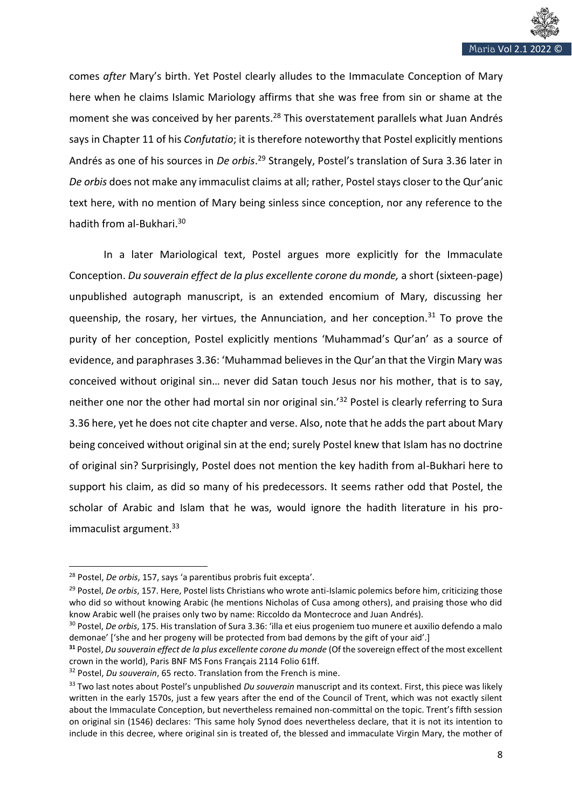

comes *after* Mary's birth. Yet Postel clearly alludes to the Immaculate Conception of Mary here when he claims Islamic Mariology affirms that she was free from sin or shame at the moment she was conceived by her parents.<sup>28</sup> This overstatement parallels what Juan Andrés says in Chapter 11 of his *Confutatio*; it is therefore noteworthy that Postel explicitly mentions Andrés as one of his sources in *De orbis*.<sup>29</sup> Strangely, Postel's translation of Sura 3.36 later in *De orbis* does not make any immaculist claims at all; rather, Postel stays closer to the Qur'anic text here, with no mention of Mary being sinless since conception, nor any reference to the hadith from al-Bukhari.<sup>30</sup>

In a later Mariological text, Postel argues more explicitly for the Immaculate Conception. *Du souverain effect de la plus excellente corone du monde,* a short (sixteen-page) unpublished autograph manuscript, is an extended encomium of Mary, discussing her queenship, the rosary, her virtues, the Annunciation, and her conception.<sup>31</sup> To prove the purity of her conception, Postel explicitly mentions 'Muhammad's Qur'an' as a source of evidence, and paraphrases 3.36: 'Muhammad believes in the Qur'an that the Virgin Mary was conceived without original sin… never did Satan touch Jesus nor his mother, that is to say, neither one nor the other had mortal sin nor original sin.<sup>'32</sup> Postel is clearly referring to Sura 3.36 here, yet he does not cite chapter and verse. Also, note that he adds the part about Mary being conceived without original sin at the end; surely Postel knew that Islam has no doctrine of original sin? Surprisingly, Postel does not mention the key hadith from al-Bukhari here to support his claim, as did so many of his predecessors. It seems rather odd that Postel, the scholar of Arabic and Islam that he was, would ignore the hadith literature in his proimmaculist argument.<sup>33</sup>

<sup>28</sup> Postel, *De orbis*, 157, says 'a parentibus probris fuit excepta'.

<sup>29</sup> Postel, *De orbis*, 157. Here, Postel lists Christians who wrote anti-Islamic polemics before him, criticizing those who did so without knowing Arabic (he mentions Nicholas of Cusa among others), and praising those who did know Arabic well (he praises only two by name: Riccoldo da Montecroce and Juan Andrés).

<sup>30</sup> Postel, *De orbis*, 175. His translation of Sura 3.36: 'illa et eius progeniem tuo munere et auxilio defendo a malo demonae' ['she and her progeny will be protected from bad demons by the gift of your aid'.]

**<sup>31</sup>** Postel, *Du souverain effect de la plus excellente corone du monde* (Of the sovereign effect of the most excellent crown in the world), Paris BNF MS Fons Français 2114 Folio 61ff.

<sup>32</sup> Postel, *Du souverain*, 65 recto. Translation from the French is mine.

<sup>33</sup> Two last notes about Postel's unpublished *Du souverain* manuscript and its context. First, this piece was likely written in the early 1570s, just a few years after the end of the Council of Trent, which was not exactly silent about the Immaculate Conception, but nevertheless remained non-committal on the topic. Trent's fifth session on original sin (1546) declares: 'This same holy Synod does nevertheless declare, that it is not its intention to include in this decree, where original sin is treated of, the blessed and immaculate Virgin Mary, the mother of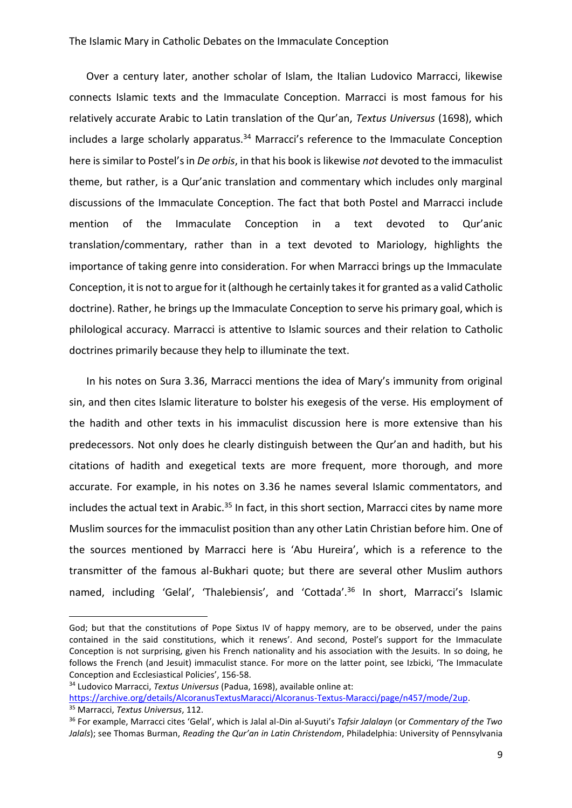### The Islamic Mary in Catholic Debates on the Immaculate Conception

Over a century later, another scholar of Islam, the Italian Ludovico Marracci, likewise connects Islamic texts and the Immaculate Conception. Marracci is most famous for his relatively accurate Arabic to Latin translation of the Qur'an, *Textus Universus* (1698), which includes a large scholarly apparatus.<sup>34</sup> Marracci's reference to the Immaculate Conception here is similar to Postel's in *De orbis*, in that his book is likewise *not* devoted to the immaculist theme, but rather, is a Qur'anic translation and commentary which includes only marginal discussions of the Immaculate Conception. The fact that both Postel and Marracci include mention of the Immaculate Conception in a text devoted to Qur'anic translation/commentary, rather than in a text devoted to Mariology, highlights the importance of taking genre into consideration. For when Marracci brings up the Immaculate Conception, it is not to argue for it (although he certainly takes it for granted as a valid Catholic doctrine). Rather, he brings up the Immaculate Conception to serve his primary goal, which is philological accuracy. Marracci is attentive to Islamic sources and their relation to Catholic doctrines primarily because they help to illuminate the text.

In his notes on Sura 3.36, Marracci mentions the idea of Mary's immunity from original sin, and then cites Islamic literature to bolster his exegesis of the verse. His employment of the hadith and other texts in his immaculist discussion here is more extensive than his predecessors. Not only does he clearly distinguish between the Qur'an and hadith, but his citations of hadith and exegetical texts are more frequent, more thorough, and more accurate. For example, in his notes on 3.36 he names several Islamic commentators, and includes the actual text in Arabic.<sup>35</sup> In fact, in this short section, Marracci cites by name more Muslim sources for the immaculist position than any other Latin Christian before him. One of the sources mentioned by Marracci here is 'Abu Hureira', which is a reference to the transmitter of the famous al-Bukhari quote; but there are several other Muslim authors named, including 'Gelal', 'Thalebiensis', and 'Cottada'.<sup>36</sup> In short, Marracci's Islamic

[https://archive.org/details/AlcoranusTextusMaracci/Alcoranus-Textus-Maracci/page/n457/mode/2up.](https://archive.org/details/AlcoranusTextusMaracci/Alcoranus-Textus-Maracci/page/n457/mode/2up) <sup>35</sup> Marracci, *Textus Universus*, 112.

God; but that the constitutions of Pope Sixtus IV of happy memory, are to be observed, under the pains contained in the said constitutions, which it renews'. And second, Postel's support for the Immaculate Conception is not surprising, given his French nationality and his association with the Jesuits. In so doing, he follows the French (and Jesuit) immaculist stance. For more on the latter point, see Izbicki, 'The Immaculate Conception and Ecclesiastical Policies', 156-58.

<sup>34</sup> Ludovico Marracci, *Textus Universus* (Padua, 1698), available online at:

<sup>36</sup> For example, Marracci cites 'Gelal', which is Jalal al-Din al-Suyuti's *Tafsir Jalalayn* (or *Commentary of the Two Jalals*); see Thomas Burman, *Reading the Qur'an in Latin Christendom*, Philadelphia: University of Pennsylvania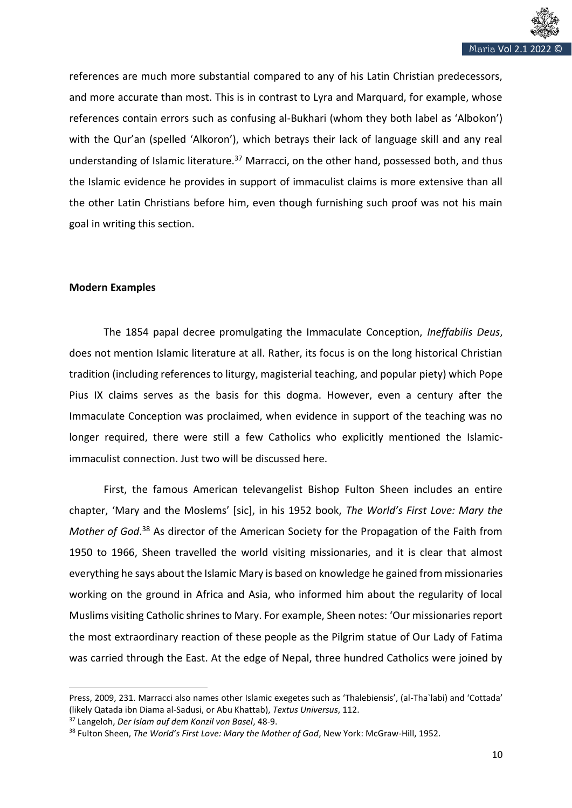

references are much more substantial compared to any of his Latin Christian predecessors, and more accurate than most. This is in contrast to Lyra and Marquard, for example, whose references contain errors such as confusing al-Bukhari (whom they both label as 'Albokon') with the Qur'an (spelled 'Alkoron'), which betrays their lack of language skill and any real understanding of Islamic literature.<sup>37</sup> Marracci, on the other hand, possessed both, and thus the Islamic evidence he provides in support of immaculist claims is more extensive than all the other Latin Christians before him, even though furnishing such proof was not his main goal in writing this section.

# **Modern Examples**

The 1854 papal decree promulgating the Immaculate Conception, *Ineffabilis Deus*, does not mention Islamic literature at all. Rather, its focus is on the long historical Christian tradition (including references to liturgy, magisterial teaching, and popular piety) which Pope Pius IX claims serves as the basis for this dogma. However, even a century after the Immaculate Conception was proclaimed, when evidence in support of the teaching was no longer required, there were still a few Catholics who explicitly mentioned the Islamicimmaculist connection. Just two will be discussed here.

First, the famous American televangelist Bishop Fulton Sheen includes an entire chapter, 'Mary and the Moslems' [sic], in his 1952 book, *The World's First Love: Mary the Mother of God*. <sup>38</sup> As director of the American Society for the Propagation of the Faith from 1950 to 1966, Sheen travelled the world visiting missionaries, and it is clear that almost everything he says about the Islamic Mary is based on knowledge he gained from missionaries working on the ground in Africa and Asia, who informed him about the regularity of local Muslims visiting Catholic shrines to Mary. For example, Sheen notes: 'Our missionaries report the most extraordinary reaction of these people as the Pilgrim statue of Our Lady of Fatima was carried through the East. At the edge of Nepal, three hundred Catholics were joined by

Press, 2009, 231. Marracci also names other Islamic exegetes such as 'Thalebiensis', (al-Tha`labi) and 'Cottada' (likely Qatada ibn Diama al-Sadusi, or Abu Khattab), *Textus Universus*, 112.

<sup>37</sup> Langeloh, *Der Islam auf dem Konzil von Basel*, 48-9.

<sup>38</sup> Fulton Sheen, *The World's First Love: Mary the Mother of God*, New York: McGraw-Hill, 1952.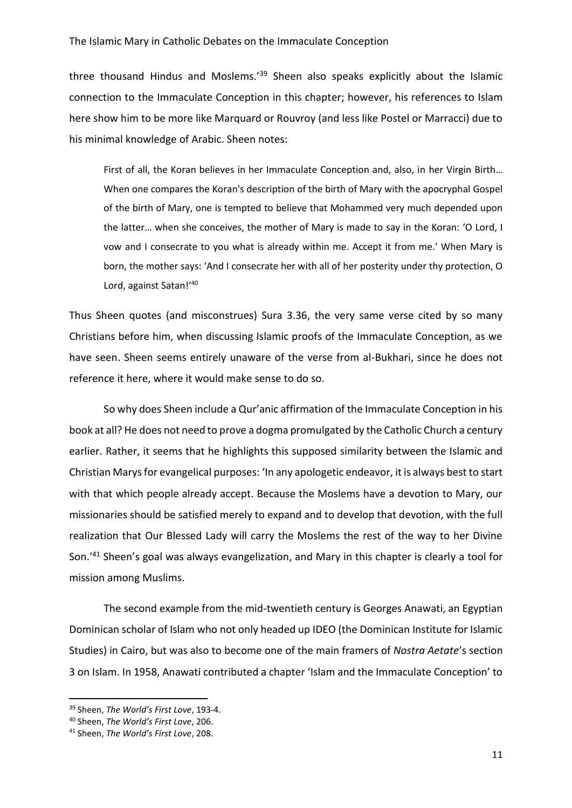### The Islamic Mary in Catholic Debates on the Immaculate Conception

three thousand Hindus and Moslems.'<sup>39</sup> Sheen also speaks explicitly about the Islamic connection to the Immaculate Conception in this chapter; however, his references to Islam here show him to be more like Marquard or Rouvroy (and less like Postel or Marracci) due to his minimal knowledge of Arabic. Sheen notes:

First of all, the Koran believes in her Immaculate Conception and, also, in her Virgin Birth… When one compares the Koran's description of the birth of Mary with the apocryphal Gospel of the birth of Mary, one is tempted to believe that Mohammed very much depended upon the latter… when she conceives, the mother of Mary is made to say in the Koran: 'O Lord, I vow and I consecrate to you what is already within me. Accept it from me.' When Mary is born, the mother says: 'And I consecrate her with all of her posterity under thy protection, O Lord, against Satan!'<sup>40</sup>

Thus Sheen quotes (and misconstrues) Sura 3.36, the very same verse cited by so many Christians before him, when discussing Islamic proofs of the Immaculate Conception, as we have seen. Sheen seems entirely unaware of the verse from al-Bukhari, since he does not reference it here, where it would make sense to do so.

So why does Sheen include a Qur'anic affirmation of the Immaculate Conception in his book at all? He does not need to prove a dogma promulgated by the Catholic Church a century earlier. Rather, it seems that he highlights this supposed similarity between the Islamic and Christian Marys for evangelical purposes: 'In any apologetic endeavor, it is always best to start with that which people already accept. Because the Moslems have a devotion to Mary, our missionaries should be satisfied merely to expand and to develop that devotion, with the full realization that Our Blessed Lady will carry the Moslems the rest of the way to her Divine Son.'<sup>41</sup> Sheen's goal was always evangelization, and Mary in this chapter is clearly a tool for mission among Muslims.

The second example from the mid-twentieth century is Georges Anawati, an Egyptian Dominican scholar of Islam who not only headed up IDEO (the Dominican Institute for Islamic Studies) in Cairo, but was also to become one of the main framers of *Nostra Aetate*'s section 3 on Islam. In 1958, Anawati contributed a chapter 'Islam and the Immaculate Conception' to

<sup>39</sup> Sheen, *The World's First Love*, 193-4.

<sup>40</sup> Sheen, *The World's First Love*, 206.

<sup>41</sup> Sheen, *The World's First Love*, 208.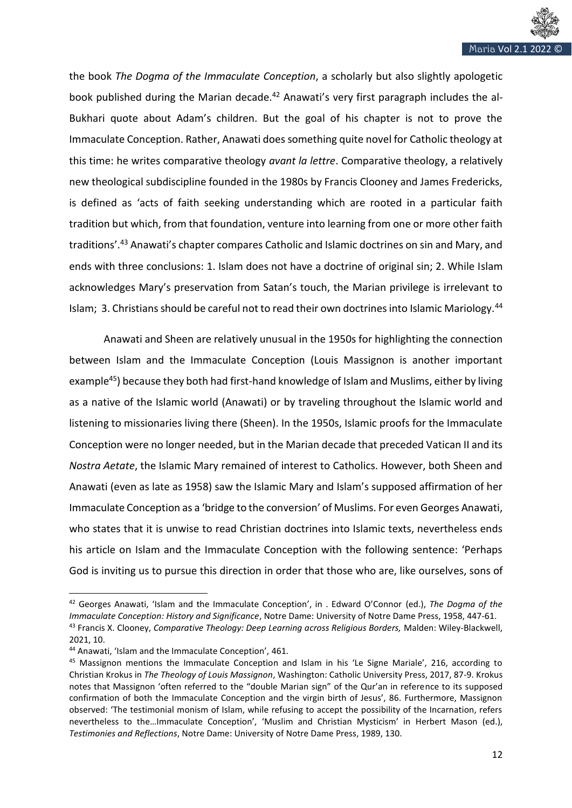

the book *The Dogma of the Immaculate Conception*, a scholarly but also slightly apologetic book published during the Marian decade.<sup>42</sup> Anawati's very first paragraph includes the al-Bukhari quote about Adam's children. But the goal of his chapter is not to prove the Immaculate Conception. Rather, Anawati does something quite novel for Catholic theology at this time: he writes comparative theology *avant la lettre*. Comparative theology, a relatively new theological subdiscipline founded in the 1980s by Francis Clooney and James Fredericks, is defined as 'acts of faith seeking understanding which are rooted in a particular faith tradition but which, from that foundation, venture into learning from one or more other faith traditions'.<sup>43</sup> Anawati's chapter compares Catholic and Islamic doctrines on sin and Mary, and ends with three conclusions: 1. Islam does not have a doctrine of original sin; 2. While Islam acknowledges Mary's preservation from Satan's touch, the Marian privilege is irrelevant to Islam; 3. Christians should be careful not to read their own doctrines into Islamic Mariology.<sup>44</sup>

Anawati and Sheen are relatively unusual in the 1950s for highlighting the connection between Islam and the Immaculate Conception (Louis Massignon is another important example<sup>45</sup>) because they both had first-hand knowledge of Islam and Muslims, either by living as a native of the Islamic world (Anawati) or by traveling throughout the Islamic world and listening to missionaries living there (Sheen). In the 1950s, Islamic proofs for the Immaculate Conception were no longer needed, but in the Marian decade that preceded Vatican II and its *Nostra Aetate*, the Islamic Mary remained of interest to Catholics. However, both Sheen and Anawati (even as late as 1958) saw the Islamic Mary and Islam's supposed affirmation of her Immaculate Conception as a 'bridge to the conversion' of Muslims. For even Georges Anawati, who states that it is unwise to read Christian doctrines into Islamic texts, nevertheless ends his article on Islam and the Immaculate Conception with the following sentence: 'Perhaps God is inviting us to pursue this direction in order that those who are, like ourselves, sons of

<sup>42</sup> Georges Anawati, 'Islam and the Immaculate Conception', in . Edward O'Connor (ed.), *The Dogma of the Immaculate Conception: History and Significance*, Notre Dame: University of Notre Dame Press, 1958, 447-61. <sup>43</sup> Francis X. Clooney, *Comparative Theology: Deep Learning across Religious Borders,* Malden: Wiley-Blackwell, 2021, 10.

<sup>44</sup> Anawati, 'Islam and the Immaculate Conception', 461.

<sup>&</sup>lt;sup>45</sup> Massignon mentions the Immaculate Conception and Islam in his 'Le Signe Mariale', 216, according to Christian Krokus in *The Theology of Louis Massignon*, Washington: Catholic University Press, 2017, 87-9. Krokus notes that Massignon 'often referred to the "double Marian sign" of the Qur'an in reference to its supposed confirmation of both the Immaculate Conception and the virgin birth of Jesus', 86. Furthermore, Massignon observed: 'The testimonial monism of Islam, while refusing to accept the possibility of the Incarnation, refers nevertheless to the…Immaculate Conception', 'Muslim and Christian Mysticism' in Herbert Mason (ed.), *Testimonies and Reflections*, Notre Dame: University of Notre Dame Press, 1989, 130.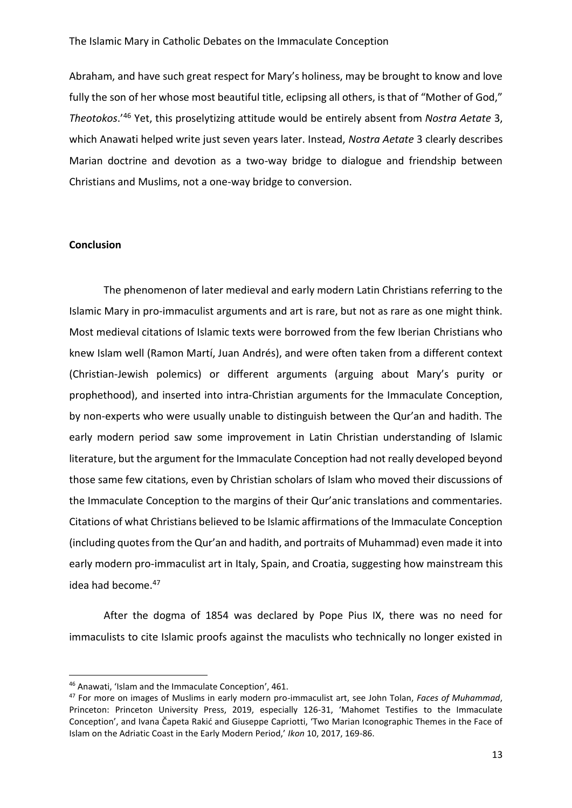Abraham, and have such great respect for Mary's holiness, may be brought to know and love fully the son of her whose most beautiful title, eclipsing all others, is that of "Mother of God," *Theotokos*.'<sup>46</sup> Yet, this proselytizing attitude would be entirely absent from *Nostra Aetate* 3, which Anawati helped write just seven years later. Instead, *Nostra Aetate* 3 clearly describes Marian doctrine and devotion as a two-way bridge to dialogue and friendship between Christians and Muslims, not a one-way bridge to conversion.

## **Conclusion**

The phenomenon of later medieval and early modern Latin Christians referring to the Islamic Mary in pro-immaculist arguments and art is rare, but not as rare as one might think. Most medieval citations of Islamic texts were borrowed from the few Iberian Christians who knew Islam well (Ramon Martí, Juan Andrés), and were often taken from a different context (Christian-Jewish polemics) or different arguments (arguing about Mary's purity or prophethood), and inserted into intra-Christian arguments for the Immaculate Conception, by non-experts who were usually unable to distinguish between the Qur'an and hadith. The early modern period saw some improvement in Latin Christian understanding of Islamic literature, but the argument for the Immaculate Conception had not really developed beyond those same few citations, even by Christian scholars of Islam who moved their discussions of the Immaculate Conception to the margins of their Qur'anic translations and commentaries. Citations of what Christians believed to be Islamic affirmations of the Immaculate Conception (including quotes from the Qur'an and hadith, and portraits of Muhammad) even made it into early modern pro-immaculist art in Italy, Spain, and Croatia, suggesting how mainstream this idea had become.<sup>47</sup>

After the dogma of 1854 was declared by Pope Pius IX, there was no need for immaculists to cite Islamic proofs against the maculists who technically no longer existed in

<sup>46</sup> Anawati, 'Islam and the Immaculate Conception', 461.

<sup>47</sup> For more on images of Muslims in early modern pro-immaculist art, see John Tolan, *Faces of Muhammad*, Princeton: Princeton University Press, 2019, especially 126-31, 'Mahomet Testifies to the Immaculate Conception', and Ivana Čapeta Rakić and Giuseppe Capriotti, 'Two Marian Iconographic Themes in the Face of Islam on the Adriatic Coast in the Early Modern Period,' *Ikon* 10, 2017, 169-86.